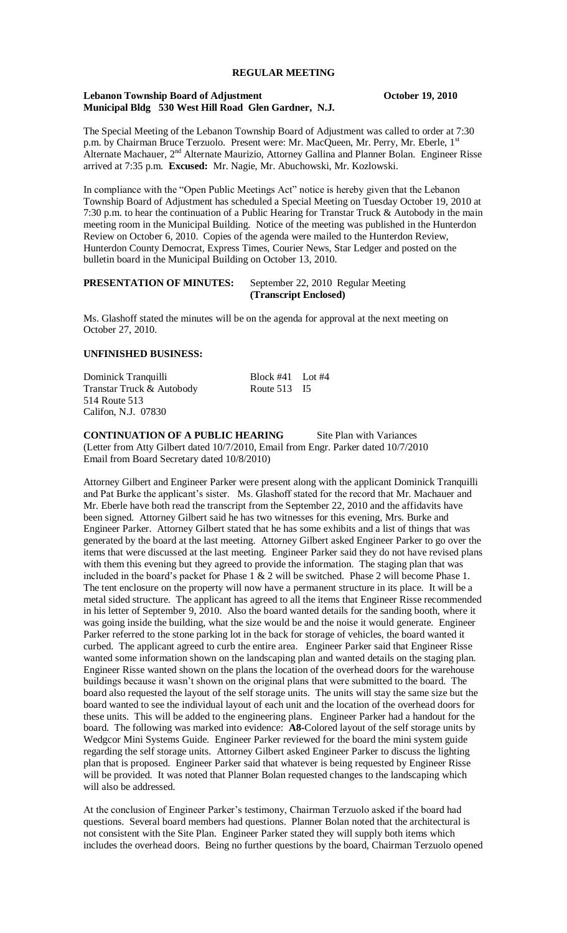#### **REGULAR MEETING**

#### **Lebanon Township Board of Adjustment October 19, 2010 Municipal Bldg 530 West Hill Road Glen Gardner, N.J.**

The Special Meeting of the Lebanon Township Board of Adjustment was called to order at 7:30 p.m. by Chairman Bruce Terzuolo. Present were: Mr. MacQueen, Mr. Perry, Mr. Eberle, 1<sup>st</sup> Alternate Machauer, 2<sup>nd</sup> Alternate Maurizio, Attorney Gallina and Planner Bolan. Engineer Risse arrived at 7:35 p.m. **Excused:** Mr. Nagie, Mr. Abuchowski, Mr. Kozlowski.

In compliance with the "Open Public Meetings Act" notice is hereby given that the Lebanon Township Board of Adjustment has scheduled a Special Meeting on Tuesday October 19, 2010 at 7:30 p.m. to hear the continuation of a Public Hearing for Transtar Truck & Autobody in the main meeting room in the Municipal Building. Notice of the meeting was published in the Hunterdon Review on October 6, 2010. Copies of the agenda were mailed to the Hunterdon Review, Hunterdon County Democrat, Express Times, Courier News, Star Ledger and posted on the bulletin board in the Municipal Building on October 13, 2010.

## **PRESENTATION OF MINUTES:** September 22, 2010 Regular Meeting **(Transcript Enclosed)**

Ms. Glashoff stated the minutes will be on the agenda for approval at the next meeting on October 27, 2010.

#### **UNFINISHED BUSINESS:**

| Dominick Tranquilli       | Block $#41$ Lot $#4$ |  |
|---------------------------|----------------------|--|
| Transtar Truck & Autobody | Route $513$ I5       |  |
| 514 Route 513             |                      |  |
| Califon, N.J. 07830       |                      |  |

**CONTINUATION OF A PUBLIC HEARING** Site Plan with Variances (Letter from Atty Gilbert dated 10/7/2010, Email from Engr. Parker dated 10/7/2010 Email from Board Secretary dated 10/8/2010)

Attorney Gilbert and Engineer Parker were present along with the applicant Dominick Tranquilli and Pat Burke the applicant's sister. Ms. Glashoff stated for the record that Mr. Machauer and Mr. Eberle have both read the transcript from the September 22, 2010 and the affidavits have been signed. Attorney Gilbert said he has two witnesses for this evening, Mrs. Burke and Engineer Parker. Attorney Gilbert stated that he has some exhibits and a list of things that was generated by the board at the last meeting. Attorney Gilbert asked Engineer Parker to go over the items that were discussed at the last meeting. Engineer Parker said they do not have revised plans with them this evening but they agreed to provide the information. The staging plan that was included in the board's packet for Phase  $1 \& 2$  will be switched. Phase 2 will become Phase 1. The tent enclosure on the property will now have a permanent structure in its place. It will be a metal sided structure. The applicant has agreed to all the items that Engineer Risse recommended in his letter of September 9, 2010. Also the board wanted details for the sanding booth, where it was going inside the building, what the size would be and the noise it would generate. Engineer Parker referred to the stone parking lot in the back for storage of vehicles, the board wanted it curbed. The applicant agreed to curb the entire area. Engineer Parker said that Engineer Risse wanted some information shown on the landscaping plan and wanted details on the staging plan. Engineer Risse wanted shown on the plans the location of the overhead doors for the warehouse buildings because it wasn't shown on the original plans that were submitted to the board. The board also requested the layout of the self storage units. The units will stay the same size but the board wanted to see the individual layout of each unit and the location of the overhead doors for these units. This will be added to the engineering plans. Engineer Parker had a handout for the board. The following was marked into evidence: **A8-**Colored layout of the self storage units by Wedgcor Mini Systems Guide. Engineer Parker reviewed for the board the mini system guide regarding the self storage units. Attorney Gilbert asked Engineer Parker to discuss the lighting plan that is proposed. Engineer Parker said that whatever is being requested by Engineer Risse will be provided. It was noted that Planner Bolan requested changes to the landscaping which will also be addressed.

At the conclusion of Engineer Parker's testimony, Chairman Terzuolo asked if the board had questions. Several board members had questions. Planner Bolan noted that the architectural is not consistent with the Site Plan. Engineer Parker stated they will supply both items which includes the overhead doors. Being no further questions by the board, Chairman Terzuolo opened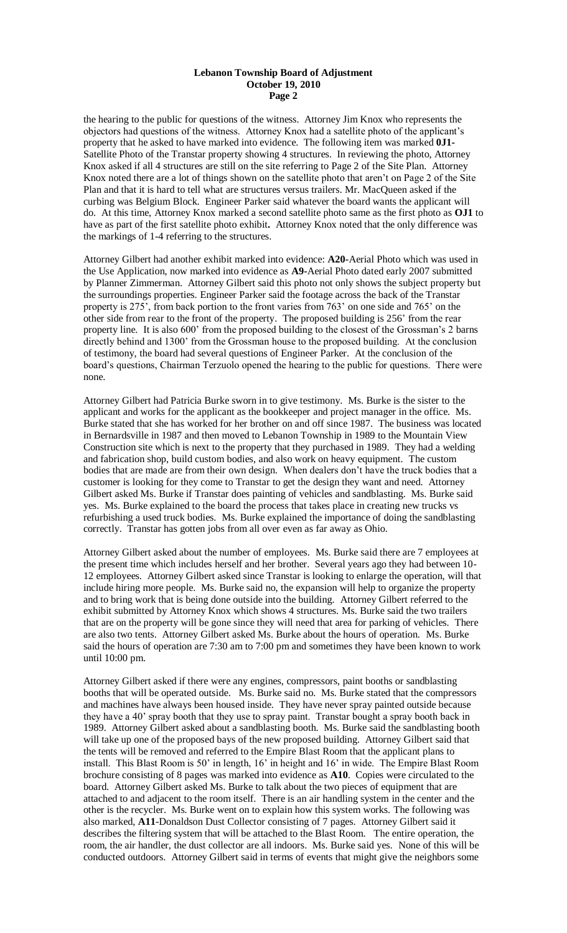#### **Lebanon Township Board of Adjustment October 19, 2010 Page 2**

the hearing to the public for questions of the witness. Attorney Jim Knox who represents the objectors had questions of the witness. Attorney Knox had a satellite photo of the applicant's property that he asked to have marked into evidence. The following item was marked **0J1-** Satellite Photo of the Transtar property showing 4 structures. In reviewing the photo, Attorney Knox asked if all 4 structures are still on the site referring to Page 2 of the Site Plan. Attorney Knox noted there are a lot of things shown on the satellite photo that aren't on Page 2 of the Site Plan and that it is hard to tell what are structures versus trailers. Mr. MacQueen asked if the curbing was Belgium Block. Engineer Parker said whatever the board wants the applicant will do. At this time, Attorney Knox marked a second satellite photo same as the first photo as **OJ1** to have as part of the first satellite photo exhibit**.** Attorney Knox noted that the only difference was the markings of 1-4 referring to the structures.

Attorney Gilbert had another exhibit marked into evidence: **A20-**Aerial Photo which was used in the Use Application, now marked into evidence as **A9-**Aerial Photo dated early 2007 submitted by Planner Zimmerman. Attorney Gilbert said this photo not only shows the subject property but the surroundings properties. Engineer Parker said the footage across the back of the Transtar property is 275', from back portion to the front varies from 763' on one side and 765' on the other side from rear to the front of the property. The proposed building is 256' from the rear property line. It is also 600' from the proposed building to the closest of the Grossman's 2 barns directly behind and 1300' from the Grossman house to the proposed building. At the conclusion of testimony, the board had several questions of Engineer Parker. At the conclusion of the board's questions, Chairman Terzuolo opened the hearing to the public for questions. There were none.

Attorney Gilbert had Patricia Burke sworn in to give testimony. Ms. Burke is the sister to the applicant and works for the applicant as the bookkeeper and project manager in the office. Ms. Burke stated that she has worked for her brother on and off since 1987. The business was located in Bernardsville in 1987 and then moved to Lebanon Township in 1989 to the Mountain View Construction site which is next to the property that they purchased in 1989. They had a welding and fabrication shop, build custom bodies, and also work on heavy equipment. The custom bodies that are made are from their own design. When dealers don't have the truck bodies that a customer is looking for they come to Transtar to get the design they want and need. Attorney Gilbert asked Ms. Burke if Transtar does painting of vehicles and sandblasting. Ms. Burke said yes. Ms. Burke explained to the board the process that takes place in creating new trucks vs refurbishing a used truck bodies. Ms. Burke explained the importance of doing the sandblasting correctly. Transtar has gotten jobs from all over even as far away as Ohio.

Attorney Gilbert asked about the number of employees. Ms. Burke said there are 7 employees at the present time which includes herself and her brother. Several years ago they had between 10- 12 employees. Attorney Gilbert asked since Transtar is looking to enlarge the operation, will that include hiring more people. Ms. Burke said no, the expansion will help to organize the property and to bring work that is being done outside into the building. Attorney Gilbert referred to the exhibit submitted by Attorney Knox which shows 4 structures. Ms. Burke said the two trailers that are on the property will be gone since they will need that area for parking of vehicles. There are also two tents. Attorney Gilbert asked Ms. Burke about the hours of operation. Ms. Burke said the hours of operation are 7:30 am to 7:00 pm and sometimes they have been known to work until 10:00 pm.

Attorney Gilbert asked if there were any engines, compressors, paint booths or sandblasting booths that will be operated outside. Ms. Burke said no. Ms. Burke stated that the compressors and machines have always been housed inside. They have never spray painted outside because they have a 40' spray booth that they use to spray paint. Transtar bought a spray booth back in 1989. Attorney Gilbert asked about a sandblasting booth. Ms. Burke said the sandblasting booth will take up one of the proposed bays of the new proposed building. Attorney Gilbert said that the tents will be removed and referred to the Empire Blast Room that the applicant plans to install. This Blast Room is 50' in length, 16' in height and 16' in wide. The Empire Blast Room brochure consisting of 8 pages was marked into evidence as **A10**. Copies were circulated to the board. Attorney Gilbert asked Ms. Burke to talk about the two pieces of equipment that are attached to and adjacent to the room itself. There is an air handling system in the center and the other is the recycler. Ms. Burke went on to explain how this system works. The following was also marked, **A11**-Donaldson Dust Collector consisting of 7 pages. Attorney Gilbert said it describes the filtering system that will be attached to the Blast Room. The entire operation, the room, the air handler, the dust collector are all indoors. Ms. Burke said yes. None of this will be conducted outdoors. Attorney Gilbert said in terms of events that might give the neighbors some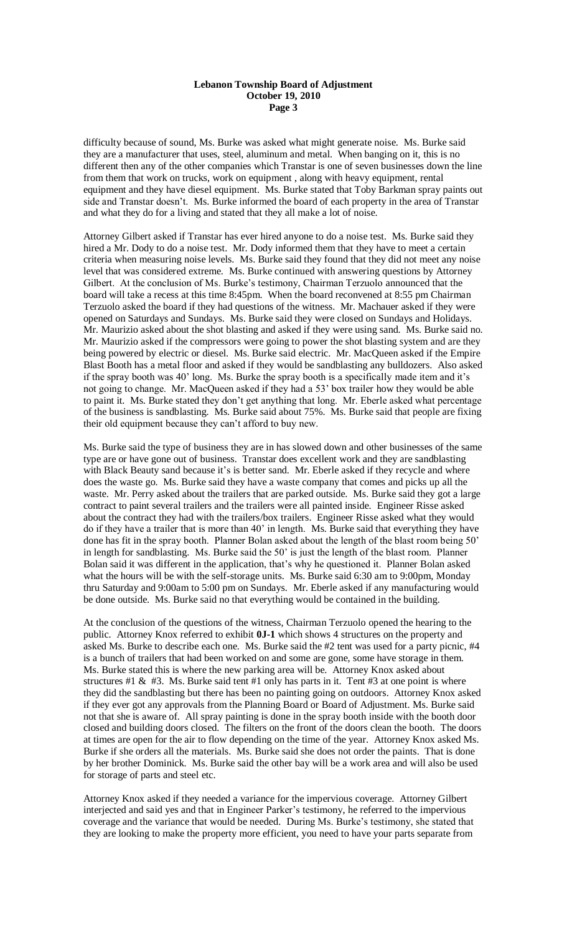#### **Lebanon Township Board of Adjustment October 19, 2010 Page 3**

difficulty because of sound, Ms. Burke was asked what might generate noise. Ms. Burke said they are a manufacturer that uses, steel, aluminum and metal. When banging on it, this is no different then any of the other companies which Transtar is one of seven businesses down the line from them that work on trucks, work on equipment , along with heavy equipment, rental equipment and they have diesel equipment. Ms. Burke stated that Toby Barkman spray paints out side and Transtar doesn't. Ms. Burke informed the board of each property in the area of Transtar and what they do for a living and stated that they all make a lot of noise.

Attorney Gilbert asked if Transtar has ever hired anyone to do a noise test. Ms. Burke said they hired a Mr. Dody to do a noise test. Mr. Dody informed them that they have to meet a certain criteria when measuring noise levels. Ms. Burke said they found that they did not meet any noise level that was considered extreme. Ms. Burke continued with answering questions by Attorney Gilbert. At the conclusion of Ms. Burke's testimony, Chairman Terzuolo announced that the board will take a recess at this time 8:45pm. When the board reconvened at 8:55 pm Chairman Terzuolo asked the board if they had questions of the witness. Mr. Machauer asked if they were opened on Saturdays and Sundays. Ms. Burke said they were closed on Sundays and Holidays. Mr. Maurizio asked about the shot blasting and asked if they were using sand. Ms. Burke said no. Mr. Maurizio asked if the compressors were going to power the shot blasting system and are they being powered by electric or diesel. Ms. Burke said electric. Mr. MacQueen asked if the Empire Blast Booth has a metal floor and asked if they would be sandblasting any bulldozers. Also asked if the spray booth was 40' long. Ms. Burke the spray booth is a specifically made item and it's not going to change. Mr. MacQueen asked if they had a 53' box trailer how they would be able to paint it. Ms. Burke stated they don't get anything that long. Mr. Eberle asked what percentage of the business is sandblasting. Ms. Burke said about 75%. Ms. Burke said that people are fixing their old equipment because they can't afford to buy new.

Ms. Burke said the type of business they are in has slowed down and other businesses of the same type are or have gone out of business. Transtar does excellent work and they are sandblasting with Black Beauty sand because it's is better sand. Mr. Eberle asked if they recycle and where does the waste go. Ms. Burke said they have a waste company that comes and picks up all the waste. Mr. Perry asked about the trailers that are parked outside. Ms. Burke said they got a large contract to paint several trailers and the trailers were all painted inside. Engineer Risse asked about the contract they had with the trailers/box trailers. Engineer Risse asked what they would do if they have a trailer that is more than 40' in length. Ms. Burke said that everything they have done has fit in the spray booth. Planner Bolan asked about the length of the blast room being 50' in length for sandblasting. Ms. Burke said the 50' is just the length of the blast room. Planner Bolan said it was different in the application, that's why he questioned it. Planner Bolan asked what the hours will be with the self-storage units. Ms. Burke said 6:30 am to 9:00pm, Monday thru Saturday and 9:00am to 5:00 pm on Sundays. Mr. Eberle asked if any manufacturing would be done outside. Ms. Burke said no that everything would be contained in the building.

At the conclusion of the questions of the witness, Chairman Terzuolo opened the hearing to the public. Attorney Knox referred to exhibit **0J-1** which shows 4 structures on the property and asked Ms. Burke to describe each one. Ms. Burke said the #2 tent was used for a party picnic, #4 is a bunch of trailers that had been worked on and some are gone, some have storage in them. Ms. Burke stated this is where the new parking area will be. Attorney Knox asked about structures #1 & #3. Ms. Burke said tent #1 only has parts in it. Tent #3 at one point is where they did the sandblasting but there has been no painting going on outdoors. Attorney Knox asked if they ever got any approvals from the Planning Board or Board of Adjustment. Ms. Burke said not that she is aware of. All spray painting is done in the spray booth inside with the booth door closed and building doors closed. The filters on the front of the doors clean the booth. The doors at times are open for the air to flow depending on the time of the year. Attorney Knox asked Ms. Burke if she orders all the materials. Ms. Burke said she does not order the paints. That is done by her brother Dominick. Ms. Burke said the other bay will be a work area and will also be used for storage of parts and steel etc.

Attorney Knox asked if they needed a variance for the impervious coverage. Attorney Gilbert interjected and said yes and that in Engineer Parker's testimony, he referred to the impervious coverage and the variance that would be needed. During Ms. Burke's testimony, she stated that they are looking to make the property more efficient, you need to have your parts separate from